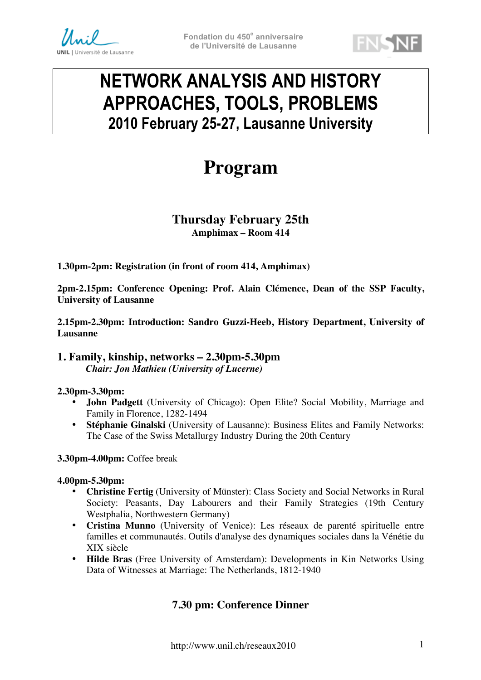



# **NETWORK ANALYSIS AND HISTORY APPROACHES, TOOLS, PROBLEMS 2010 February 25-27, Lausanne University**

# **Program**

# **Thursday February 25th Amphimax – Room 414**

**1.30pm-2pm: Registration (in front of room 414, Amphimax)**

**2pm-2.15pm: Conference Opening: Prof. Alain Clémence, Dean of the SSP Faculty, University of Lausanne**

**2.15pm-2.30pm: Introduction: Sandro Guzzi-Heeb, History Department, University of Lausanne**

## **1. Family, kinship, networks – 2.30pm-5.30pm** *Chair: Jon Mathieu (University of Lucerne)*

## **2.30pm-3.30pm:**

- **John Padgett** (University of Chicago): Open Elite? Social Mobility, Marriage and Family in Florence, 1282-1494
- **Stéphanie Ginalski** (University of Lausanne): Business Elites and Family Networks: The Case of the Swiss Metallurgy Industry During the 20th Century

**3.30pm-4.00pm:** Coffee break

#### **4.00pm-5.30pm:**

- **Christine Fertig** (University of Münster): Class Society and Social Networks in Rural Society: Peasants, Day Labourers and their Family Strategies (19th Century Westphalia, Northwestern Germany)
- **Cristina Munno** (University of Venice): Les réseaux de parenté spirituelle entre familles et communautés. Outils d'analyse des dynamiques sociales dans la Vénétie du XIX siècle
- **Hilde Bras** (Free University of Amsterdam): Developments in Kin Networks Using Data of Witnesses at Marriage: The Netherlands, 1812-1940

# **7.30 pm: Conference Dinner**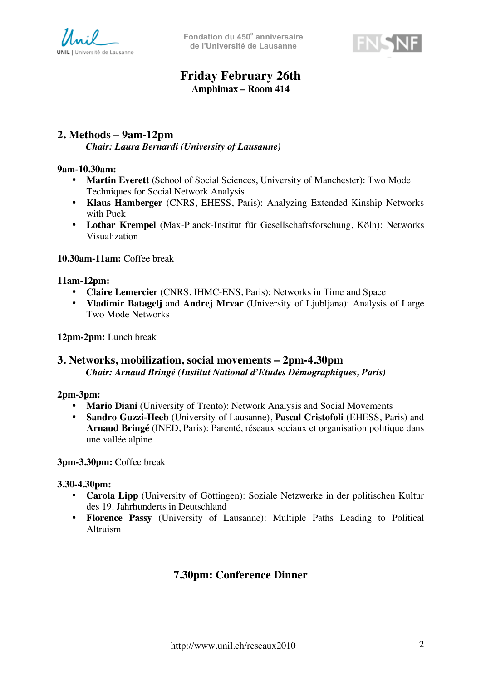



# **Friday February 26th Amphimax – Room 414**

# **2. Methods – 9am-12pm** *Chair: Laura Bernardi (University of Lausanne)*

#### **9am-10.30am:**

- **Martin Everett** (School of Social Sciences, University of Manchester): Two Mode Techniques for Social Network Analysis
- **Klaus Hamberger** (CNRS, EHESS, Paris): Analyzing Extended Kinship Networks with Puck
- **Lothar Krempel** (Max-Planck-Institut für Gesellschaftsforschung, Köln): Networks Visualization

#### **10.30am-11am:** Coffee break

#### **11am-12pm:**

- **Claire Lemercier** (CNRS, IHMC-ENS, Paris): Networks in Time and Space
- **Vladimir Batagelj** and **Andrej Mrvar** (University of Ljubljana): Analysis of Large Two Mode Networks

**12pm-2pm:** Lunch break

# **3. Networks, mobilization, social movements – 2pm-4.30pm** *Chair: Arnaud Bringé (Institut National d'Etudes Démographiques, Paris)*

## **2pm-3pm:**

- **Mario Diani** (University of Trento): Network Analysis and Social Movements
- **Sandro Guzzi-Heeb** (University of Lausanne), **Pascal Cristofoli** (EHESS, Paris) and **Arnaud Bringé** (INED, Paris): Parenté, réseaux sociaux et organisation politique dans une vallée alpine

**3pm-3.30pm:** Coffee break

#### **3.30-4.30pm:**

- **Carola Lipp** (University of Göttingen): Soziale Netzwerke in der politischen Kultur des 19. Jahrhunderts in Deutschland
- **Florence Passy** (University of Lausanne): Multiple Paths Leading to Political Altruism

# **7.30pm: Conference Dinner**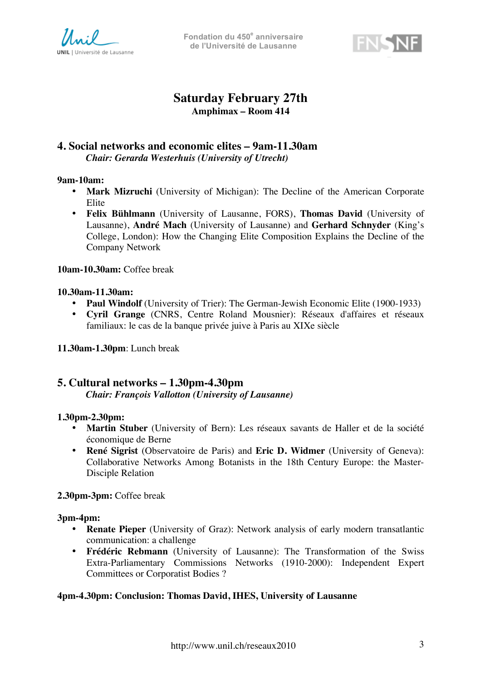

**Fondation du 450<sup>e</sup> anniversaire de l'Université de Lausanne**



# **Saturday February 27th Amphimax – Room 414**

## **4. Social networks and economic elites – 9am-11.30am** *Chair: Gerarda Westerhuis (University of Utrecht)*

#### **9am-10am:**

- **Mark Mizruchi** (University of Michigan): The Decline of the American Corporate Elite
- **Felix Bühlmann** (University of Lausanne, FORS), **Thomas David** (University of Lausanne), **André Mach** (University of Lausanne) and **Gerhard Schnyder** (King's College, London): How the Changing Elite Composition Explains the Decline of the Company Network

**10am-10.30am:** Coffee break

#### **10.30am-11.30am:**

- **Paul Windolf** (University of Trier): The German-Jewish Economic Elite (1900-1933)
- **Cyril Grange** (CNRS, Centre Roland Mousnier): Réseaux d'affaires et réseaux familiaux: le cas de la banque privée juive à Paris au XIXe siècle

**11.30am-1.30pm**: Lunch break

## **5. Cultural networks – 1.30pm-4.30pm**

*Chair: François Vallotton (University of Lausanne)*

#### **1.30pm-2.30pm:**

- **Martin Stuber** (University of Bern): Les réseaux savants de Haller et de la société économique de Berne
- **René Sigrist** (Observatoire de Paris) and **Eric D. Widmer** (University of Geneva): Collaborative Networks Among Botanists in the 18th Century Europe: the Master-Disciple Relation

## **2.30pm-3pm:** Coffee break

#### **3pm-4pm:**

- **Renate Pieper** (University of Graz): Network analysis of early modern transatlantic communication: a challenge
- **Frédéric Rebmann** (University of Lausanne): The Transformation of the Swiss Extra-Parliamentary Commissions Networks (1910-2000): Independent Expert Committees or Corporatist Bodies ?

## **4pm-4.30pm: Conclusion: Thomas David, IHES, University of Lausanne**